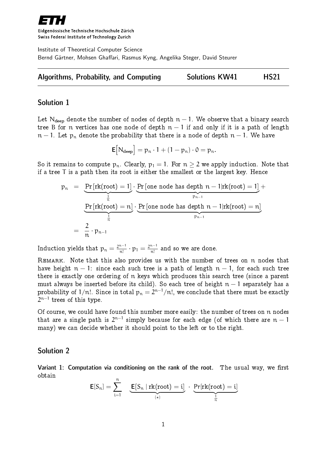

Eidgenössische Technische Hochschule Zürich Swiss Federal Institute of Technology Zurich

Institute of Theoretical Computer Science Bernd Gärtner, Mohsen Ghaffari, Rasmus Kyng, Angelika Steger, David Steurer



### Solution 1

Let N<sub>deep</sub> denote the number of nodes of depth  $n-1$ . We observe that a binary search tree B for n vertices has one node of depth  $n-1$  if and only if it is a path of length  $n-1$ . Let  $p_n$  denote the probability that there is a node of depth  $n-1$ . We have

$$
\mathsf{E}\big[N_{\text{deep}}\big] = p_n \cdot 1 + (1 - p_n) \cdot 0 = p_n.
$$

So it remains to compute  $p_n$ . Clearly,  $p_1 = 1$ . For  $n > 2$  we apply induction. Note that if a tree T is a path then its root is either the smallest or the largest key. Hence

$$
p_n = \underbrace{Pr\left[rk(root) = 1\right]}_{\frac{1}{n}} \cdot \underbrace{Pr\left[one\ node\ has\ depth\ n - 1 | rk(root) = 1\right]}_{p_{n-1}} + \underbrace{Pr\left[rk(root) = n\right]}_{\frac{1}{n}} \cdot \underbrace{Pr\left[one\ node\ has\ depth\ n - 1 | rk(root) = n\right]}_{p_{n-1}} \\ = \frac{2}{n} \cdot p_{n-1}
$$

Induction yields that  $p_n = \frac{2^{n-1}}{n!}$  $\frac{n-1}{n!} \cdot p_1 = \frac{2^{n-1}}{n!}$  $\frac{n-1}{n!}$  and so we are done.

Remark. Note that this also provides us with the number of trees on n nodes that have height  $n - 1$ : since each such tree is a path of length  $n - 1$ , for each such tree there is exactly one ordering of n keys which produces this search tree (since a parent must always be inserted before its child). So each tree of height  $n - 1$  separately has a probability of  $1/n!$ . Since in total  $\mathsf{p}_\mathfrak{n}=2^{\mathfrak{n}-1}/\mathfrak{n}!$ , we conclude that there must be exactly  $2^{\mathfrak{n}-1}$  trees of this type.

Of course, we could have found this number more easily: the number of trees on n nodes that are a single path is  $2^{n-1}$  simply because for each edge (of which there are  $n-1$ many) we can decide whether it should point to the left or to the right.

### Solution 2

Variant 1: Computation via conditioning on the rank of the root. The usual way, we first obtain

$$
\text{E}[S_n] = \sum_{i=1}^n \underbrace{\underbrace{\text{E}[S_n \mid \text{rk}(\text{root}) = i]}_{(*)} \cdot \underbrace{\text{Pr}[\text{rk}(\text{root}) = i]}_{\frac{1}{n}}}
$$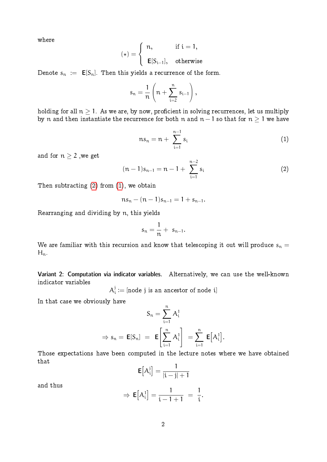where

$$
(\star)=\left\{\begin{array}{ll}n, & \text{ if } i=1,\\ \\ \textbf{E}[S_{i-1}], & \text{ otherwise }\end{array}\right.
$$

Denote  $s_n := \mathsf{E}[S_n]$ . Then this yields a recurrence of the form.

$$
s_n = \frac{1}{n} \left( n + \sum_{i=2}^n s_{i-1} \right),
$$

<span id="page-1-1"></span>holding for all  $n > 1$ . As we are, by now, proficient in solving recurrences, let us multiply by n and then instantiate the recurrence for both n and  $n - 1$  so that for  $n \geq 1$  we have

$$
ns_n = n + \sum_{i=1}^{n-1} s_i
$$
 (1)

and for  $n \geq 2$  , we get

<span id="page-1-0"></span>
$$
(n-1)s_{n-1} = n-1 + \sum_{i=1}^{n-2} s_i
$$
 (2)

Then subtracting [\(2\)](#page-1-0) from [\(1\)](#page-1-1), we obtain

$$
ns_n - (n-1)s_{n-1} = 1 + s_{n-1}.
$$

Rearranging and dividing by n, this yields

$$
s_n=\frac{1}{n}+\ s_{n-1}.
$$

We are familiar with this recursion and know that telescoping it out will produce  $s_n =$  $H_n$ .

Variant 2: Computation via indicator variables. Alternatively, we can use the well-known indicator variables

> $\mathcal{A}^{\rm j}_{\rm i}$  $\mathbf{d}_i^j:=[\text{node } j \text{~is an ancestor of node } i]$

In that case we obviously have

$$
S_n = \sum_{i=1}^n A_i^1
$$
  
\n
$$
\Rightarrow s_n = \mathbf{E}[S_n] = \mathbf{E}\left[\sum_{i=1}^n A_i^1\right] = \sum_{i=1}^n \mathbf{E}[A_i^1].
$$

Those expectations have been computed in the lecture notes where we have obtained that

$$
\mathbf{E}\left[A_i^j\right] = \frac{1}{|i-j|+1}
$$

and thus

$$
\Rightarrow \mathbf{E}[A_i^1] = \frac{1}{i-1+1} = \frac{1}{i}.
$$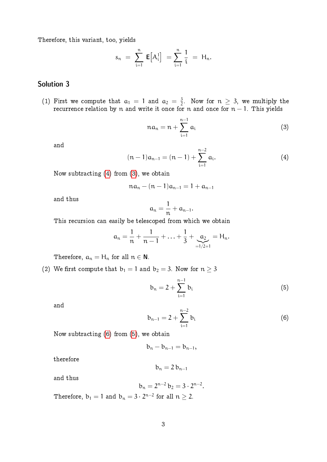Therefore, this variant, too, yields

$$
s_n = \sum_{i=1}^n E[A_i^1] = \sum_{i=1}^n \frac{1}{i} = H_n.
$$

# Solution 3

(1) First we compute that  $a_1 = 1$  and  $a_2 = \frac{3}{2}$  $\frac{3}{2}$ . Now for  $n \geq 3$ , we multiply the recurrence relation by n and write it once for n and once for  $n - 1$ . This yields

<span id="page-2-1"></span>
$$
na_n = n + \sum_{i=1}^{n-1} a_i \tag{3}
$$

<span id="page-2-0"></span>and

$$
(n-1)a_{n-1} = (n-1) + \sum_{i=1}^{n-2} a_i.
$$
 (4)

Now subtracting [\(4\)](#page-2-0) from [\(3\)](#page-2-1), we obtain

$$
na_n - (n-1)a_{n-1} = 1 + a_{n-1}
$$

and thus

$$
\alpha_n=\frac{1}{n}+\alpha_{n-1}.
$$

This recursion can easily be telescoped from which we obtain

$$
a_n = \frac{1}{n} + \frac{1}{n-1} + \ldots + \frac{1}{3} + \underbrace{a_2}_{=1/2+1} = H_n.
$$

Therefore,  $a_n = H_n$  for all  $n \in \mathbb{N}$ .

(2) We first compute that 
$$
b_1 = 1
$$
 and  $b_2 = 3$ . Now for  $n \ge 3$ 

<span id="page-2-3"></span>
$$
b_n = 2 + \sum_{i=1}^{n-1} b_i
$$
 (5)

<span id="page-2-2"></span>and

$$
b_{n-1} = 2 + \sum_{i=1}^{n-2} b_i
$$
 (6)

Now subtracting [\(6\)](#page-2-2) from [\(5\)](#page-2-3), we obtain

$$
b_n-b_{n-1}=b_{n-1},\\
$$

therefore

$$
b_n = 2 b_{n-1}
$$

and thus

$$
b_n = 2^{n-2} b_2 = 3 \cdot 2^{n-2}.
$$

Therefore,  $\mathbb{b}_1 = 1$  and  $\mathbb{b}_\mathfrak{n} = 3 \cdot 2^{\mathfrak{n}-2}$  for all  $\mathfrak{n} \geq 2.$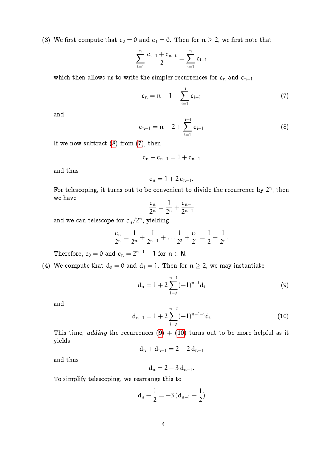(3) We first compute that  $c_0 = 0$  and  $c_1 = 0$ . Then for  $n \geq 2$ , we first note that

$$
\sum_{i=1}^n \frac{c_{i-1}+c_{n-i}}{2}=\sum_{i=1}^n c_{i-1}
$$

which then allows us to write the simpler recurrences for  $c_n$  and  $c_{n-1}$ 

<span id="page-3-1"></span> $c_n = n - 1 + \sum_{n=1}^{n}$ i=1  $c_{i-1}$  (7)

<span id="page-3-0"></span>and

$$
c_{n-1} = n - 2 + \sum_{i=1}^{n-1} c_{i-1}
$$
 (8)

If we now subtract  $(8)$  from  $(7)$ , then

$$
c_n - c_{n-1} = 1 + c_{n-1}
$$

and thus

$$
c_n=1+2\,c_{n-1}.
$$

For telescoping, it turns out to be convenient to divide the recurrence by  $2^n$ , then we have

$$
\frac{c_n}{2^n} = \frac{1}{2^n} + \frac{c_{n-1}}{2^{n-1}}
$$

and we can telescope for  $c_n/2^n$ , yielding

$$
\frac{c_n}{2^n} = \frac{1}{2^n} + \frac{1}{2^{n-1}} + \dots + \frac{1}{2^2} + \frac{c_1}{2^1} = \frac{1}{2} - \frac{1}{2^n}.
$$

Therefore,  $c_0 = 0$  and  $c_n = 2^{n-1} - 1$  for  $n \in \mathbb{N}$ .

(4) We compute that  $d_0 = 0$  and  $d_1 = 1$ . Then for  $n \geq 2$ , we may instantiate

<span id="page-3-2"></span>
$$
d_n = 1 + 2 \sum_{i=0}^{n-1} (-1)^{n-i} d_i
$$
 (9)

<span id="page-3-3"></span>and

$$
d_{n-1} = 1 + 2 \sum_{i=0}^{n-2} (-1)^{n-1-i} d_i
$$
 (10)

This time, adding the recurrences [\(9\)](#page-3-2)  $+$  [\(10\)](#page-3-3) turns out to be more helpful as it yields

$$
d_n + d_{n-1} = 2 - 2 d_{n-1}
$$

and thus

$$
d_n=2-3\,d_{n-1}.
$$

To simplify telescoping, we rearrange this to

$$
d_n - \frac{1}{2} = -3 (d_{n-1} - \frac{1}{2})
$$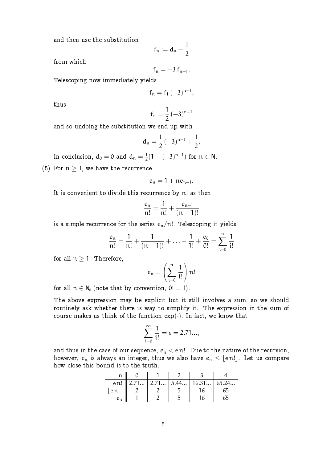and then use the substitution

$$
f_n:=d_n-\frac{1}{2}
$$

from which

$$
f_n=-3\,f_{n-1}.
$$

Telescoping now immediately yields

$$
f_n = f_1 \, (-3)^{n-1},
$$

thus

$$
f_n = \frac{1}{2} \, (-3)^{n-1}
$$

and so undoing the substitution we end up with

$$
d_n=\frac{1}{2}\,(-3)^{n-1}+\frac{1}{2}.
$$

In conclusion,  $\mathrm{d}_0 = 0$  and  $\mathrm{d}_{\mathrm{n}} = \frac{1}{2}$  $\frac{1}{2}(1+(-3)^{n-1})$  for  $n \in \mathbb{N}$ .

(5) For  $n \geq 1$ , we have the recurrence

$$
e_n=1+ne_{n-1}.
$$

It is convenient to divide this recurrence by n! as then

$$
\frac{e_n}{n!} = \frac{1}{n!} + \frac{e_{n-1}}{(n-1)!}
$$

is a simple recurrence for the series  $e_n/n!$ . Telescoping it yields

$$
\frac{e_n}{n!} = \frac{1}{n!} + \frac{1}{(n-1)!} + \ldots + \frac{1}{1!} + \frac{e_0}{0!} = \sum_{i=0}^{n} \frac{1}{i!}
$$

for all  $n \geq 1$ . Therefore,

$$
e_n = \left(\sum_{i=0}^n \frac{1}{i!}\right) n!
$$

for all  $n \in N_0$  (note that by convention,  $0! = 1$ ).

The above expression may be explicit but it still involves a sum, so we should routinely ask whether there is way to simplify it. The expression in the sum of course makes us think of the function  $exp(\cdot)$ . In fact, we know that

$$
\sum_{i=0}^{\infty} \frac{1}{i!} = e = 2.71...,
$$

and thus in the case of our sequence,  $e_n < e$  n!. Due to the nature of the recursion, however,  $e_n$  is always an integer, thus we also have  $e_n \leq \lfloor \text{e\,} n! \rfloor$ . Let us compare how close this bound is to the truth.

|                                    |  | e n!    2.71   2.71   5.44   16.31   65.24 |    |
|------------------------------------|--|--------------------------------------------|----|
| $ $ e $\mathfrak{n}! $ $\parallel$ |  | 16.                                        | 65 |
| $e_n$                              |  | 16                                         | 65 |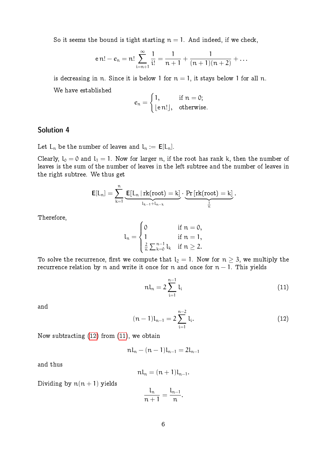So it seems the bound is tight starting  $n = 1$ . And indeed, if we check,

$$
\mathsf{e}\,\mathsf{n}!-\mathsf{e}_\mathsf{n}=\mathsf{n}!\sum_{\mathsf{i}=\mathsf{n}+\mathsf{1}}^{\infty}\frac{1}{\mathsf{i}!}=\frac{1}{\mathsf{n}+\mathsf{1}}+\frac{1}{(\mathsf{n}+\mathsf{1})(\mathsf{n}+\mathsf{2})}+\ldots
$$

is decreasing in n. Since it is below 1 for  $n = 1$ , it stays below 1 for all n. We have established

$$
e_n = \begin{cases} 1, & \text{if } n = 0; \\ \lfloor \text{e } n ! \rfloor, & \text{otherwise.} \end{cases}
$$

## Solution 4

Let  $L_n$  be the number of leaves and  $l_n := E[L_n]$ .

Clearly,  $l_0 = 0$  and  $l_1 = 1$ . Now for larger n, if the root has rank k, then the number of leaves is the sum of the number of leaves in the left subtree and the number of leaves in the right subtree. We thus get

$$
\textbf{E}[L_n] = \sum_{k=1}^n \underbrace{\textbf{E}[L_n \, | \, rk(root) = k]}_{l_{k-1} + l_{n-k}} \cdot \underbrace{\Pr\left[ rk(root) = k\right]}_{\frac{1}{n}}.
$$

Therefore,

$$
l_n=\begin{cases}0 &\text{if }n=0,\\1 &\text{if }n=1,\\ \frac{2}{n}\sum_{k=0}^{n-1}l_k &\text{if }n\geq 2.\end{cases}
$$

To solve the recurrence, first we compute that  $l_2 = 1$ . Now for  $n \geq 3$ , we multiply the recurrence relation by n and write it once for n and once for  $n - 1$ . This yields

<span id="page-5-1"></span>
$$
n l_n = 2 \sum_{i=1}^{n-1} l_i
$$
 (11)

<span id="page-5-0"></span>and

$$
(n-1)l_{n-1}=2\sum_{i=1}^{n-2}l_i.
$$
 (12)

Now subtracting [\(12\)](#page-5-0) from [\(11\)](#page-5-1), we obtain

$$
n l_n - (n-1) l_{n-1} = 2 l_{n-1}
$$

and thus

$$
nl_n=(n+1)l_{n-1}.
$$

Dividing by  $n(n + 1)$  yields

$$
\frac{l_n}{n+1}=\frac{l_{n-1}}{n}.
$$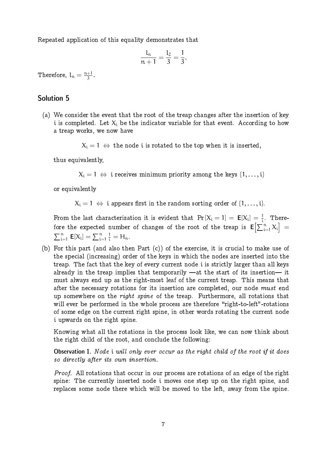Repeated application of this equality demonstrates that

$$
\frac{l_n}{n+1}=\frac{l_2}{3}=\frac{1}{3}.
$$

Therefore,  $l_n = \frac{n+1}{3}$  $\frac{+1}{3}$ .

### Solution 5

(a) We consider the event that the root of the treap changes after the insertion of key i is completed. Let  $X_i$  be the indicator variable for that event. According to how a treap works, we now have

 $X_i = 1 \Leftrightarrow$  the node i is rotated to the top when it is inserted,

thus equivalently,

 $X_i = 1 \Leftrightarrow i$  receives minimum priority among the keys  $\{1, \ldots, i\}$ 

or equivalently

 $X_i = 1 \Leftrightarrow i$  appears first in the random sorting order of  $\{1, \ldots, i\}$ .

From the last characterization it is evident that  $Pr[X_i = 1] = E[X_i] = \frac{1}{i}$  $\frac{1}{i}$ . Therefore the expected number of changes of the root of the treap is  ${\sf E}\bigl[\sum_{\rm i=1}^{\rm n} X_{\rm i}\bigr]=$  $\sum_{i=1}^n E[X_i] = \sum_{i=1}^n$  $\frac{1}{i} = H_n.$ 

(b) For this part (and also then Part (c)) of the exercise, it is crucial to make use of the special (increasing) order of the keys in which the nodes are inserted into the treap. The fact that the key of every current node i is strictly larger than all keys already in the treap implies that temporarily  $-\alpha t$  the start of its insertion— it must always end up as the right-most leaf of the current treap. This means that after the necessary rotations for its insertion are completed, our node must end up somewhere on the *right spine* of the treap. Furthermore, all rotations that will ever be performed in the whole process are therefore "right-to-left"-rotations of some edge on the current right spine, in other words rotating the current node i upwards on the right spine.

Knowing what all the rotations in the process look like, we can now think about the right child of the root, and conclude the following:

Observation 1. Node i will only ever occur as the right child of the root if it does so directly after its own insertion.

Proof. All rotations that occur in our process are rotations of an edge of the right spine: The currently inserted node i moves one step up on the right spine, and replaces some node there which will be moved to the left, away from the spine.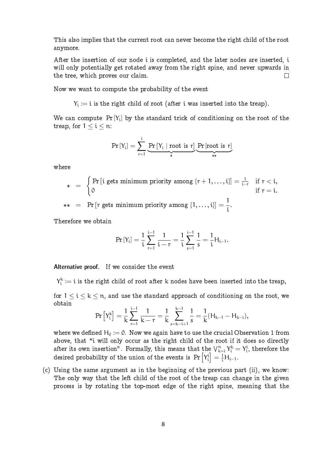This also implies that the current root can never become the right child of the root anymore.

After the insertion of our node i is completed, and the later nodes are inserted, i will only potentially get rotated away from the right spine, and never upwards in the tree, which proves our claim.  $\Box$ 

Now we want to compute the probability of the event

 $\mathsf{Y}_\mathfrak{i}:=\mathfrak{i}$  is the right child of root (after  $\mathfrak{i}$  was inserted into the treap).

We can compute  $Pr[Y_i]$  by the standard trick of conditioning on the root of the treap, for  $1 \le i \le n$ :

$$
Pr\left[Y_{i}\right]=\sum_{r=1}^{i}\underbrace{Pr\left[Y_{i}\mid root\text{ is }r\right]}_{*}\underbrace{Pr\left[root\text{ is }r\right]}_{**}
$$

where

$$
* = \begin{cases} Pr[i gets minimum priority among {r+1,..., i}] = \frac{1}{i-r} & \text{if } r < i, \\ 0 & \text{if } r = i. \end{cases}
$$
  

$$
* = Pr[r gets minimum priority among {1,..., i}] = \frac{1}{i-r}.
$$

i

 $\begin{array}{lll} * \ * \ * \ = \ & \Pr\left[\text{$r$ gets minimum priority among $\{1,\ldots,\text{$i$}\} \right] = \end{array}$ 

Therefore we obtain

$$
\Pr\left[Y_{i}\right]=\frac{1}{i}\sum_{r=1}^{i-1}\frac{1}{i-r}=\frac{1}{i}\sum_{s=1}^{i-1}\frac{1}{s}=\frac{1}{i}H_{i-1}.
$$

Alternative proof. If we consider the event

 $\mathsf{Y}^{\mathsf{k}}_{\mathsf{i}} \coloneqq \mathsf{i}$  is the right child of root after k nodes have been inserted into the treap,

for  $1 \le i \le k \le n$ , and use the standard approach of conditioning on the root, we obtain

$$
\Pr\left[Y_i^k\right] = \frac{1}{k} \sum_{r=1}^{i-1} \frac{1}{k-r} = \frac{1}{k} \sum_{s=k-i+1}^{k-1} \frac{1}{s} = \frac{1}{k} (H_{k-1} - H_{k-i}),
$$

where we defined  $H_0 := 0$ . Now we again have to use the crucial Observation 1 from above, that "i will only occur as the right child of the root if it does so directly after its own insertion". Formally, this means that the  $\mathcal{V}^{\rm n}_{\rm k=i}\,Y^{\rm k}_{\rm i}=Y^{\rm i}_{\rm i},$  therefore the desired probability of the union of the events is  $\Pr\left[\left.Y_{\rm i}^{\rm i}\right]=\frac{1}{\rm i}\mathsf{H}_{\rm i-1}.$ 

(c) Using the same argument as in the beginning of the previous part (ii), we know: The only way that the left child of the root of the treap can change in the given process is by rotating the top-most edge of the right spine, meaning that the